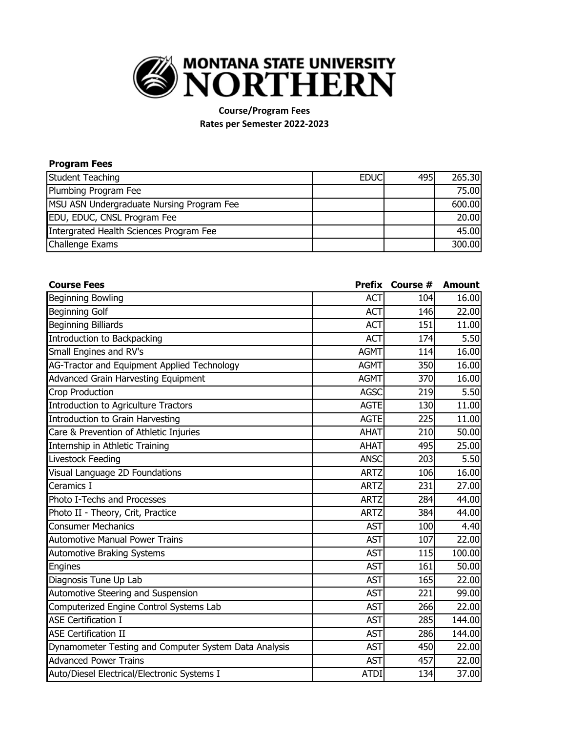

**Course/Program Fees Rates per Semester 2022-2023**

## **Program Fees**

| <b>Student Teaching</b>                   | <b>EDUC</b> | 495I | 265.30 |
|-------------------------------------------|-------------|------|--------|
| Plumbing Program Fee                      |             |      | 75.00  |
| MSU ASN Undergraduate Nursing Program Fee |             |      | 600.00 |
| EDU, EDUC, CNSL Program Fee               |             |      | 20.00  |
| Intergrated Health Sciences Program Fee   |             |      | 45.00  |
| Challenge Exams                           |             |      | 300.00 |

| <b>Course Fees</b>                                    |             | Prefix Course # | <b>Amount</b> |
|-------------------------------------------------------|-------------|-----------------|---------------|
| <b>Beginning Bowling</b>                              | <b>ACT</b>  | 104             | 16.00         |
| <b>Beginning Golf</b>                                 | <b>ACT</b>  | 146             | 22.00         |
| <b>Beginning Billiards</b>                            | <b>ACT</b>  | 151             | 11.00         |
| Introduction to Backpacking                           | <b>ACT</b>  | 174             | 5.50          |
| Small Engines and RV's                                | <b>AGMT</b> | 114             | 16.00         |
| AG-Tractor and Equipment Applied Technology           | <b>AGMT</b> | 350             | 16.00         |
| Advanced Grain Harvesting Equipment                   | <b>AGMT</b> | 370             | 16.00         |
| <b>Crop Production</b>                                | <b>AGSC</b> | 219             | 5.50          |
| Introduction to Agriculture Tractors                  | <b>AGTE</b> | 130             | 11.00         |
| <b>Introduction to Grain Harvesting</b>               | <b>AGTE</b> | 225             | 11.00         |
| Care & Prevention of Athletic Injuries                | <b>AHAT</b> | 210             | 50.00         |
| Internship in Athletic Training                       | <b>AHAT</b> | 495             | 25.00         |
| <b>Livestock Feeding</b>                              | <b>ANSC</b> | 203             | 5.50          |
| Visual Language 2D Foundations                        | <b>ARTZ</b> | 106             | 16.00         |
| Ceramics I                                            | <b>ARTZ</b> | 231             | 27.00         |
| Photo I-Techs and Processes                           | <b>ARTZ</b> | 284             | 44.00         |
| Photo II - Theory, Crit, Practice                     | <b>ARTZ</b> | 384             | 44.00         |
| <b>Consumer Mechanics</b>                             | <b>AST</b>  | 100             | 4.40          |
| <b>Automotive Manual Power Trains</b>                 | <b>AST</b>  | 107             | 22.00         |
| <b>Automotive Braking Systems</b>                     | <b>AST</b>  | 115             | 100.00        |
| Engines                                               | <b>AST</b>  | 161             | 50.00         |
| Diagnosis Tune Up Lab                                 | <b>AST</b>  | 165             | 22.00         |
| Automotive Steering and Suspension                    | <b>AST</b>  | 221             | 99.00         |
| Computerized Engine Control Systems Lab               | <b>AST</b>  | 266             | 22.00         |
| <b>ASE Certification I</b>                            | <b>AST</b>  | 285             | 144.00        |
| <b>ASE Certification II</b>                           | <b>AST</b>  | 286             | 144.00        |
| Dynamometer Testing and Computer System Data Analysis | <b>AST</b>  | 450             | 22.00         |
| <b>Advanced Power Trains</b>                          | <b>AST</b>  | 457             | 22.00         |
| Auto/Diesel Electrical/Electronic Systems I           | <b>ATDI</b> | 134             | 37.00         |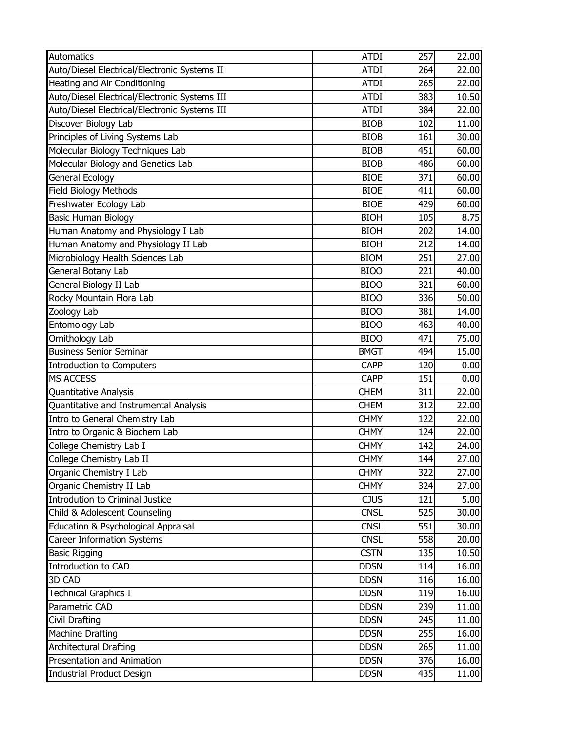| Automatics                                    | <b>ATDI</b> | 257 | 22.00              |
|-----------------------------------------------|-------------|-----|--------------------|
| Auto/Diesel Electrical/Electronic Systems II  | <b>ATDI</b> | 264 | 22.00              |
| Heating and Air Conditioning                  | <b>ATDI</b> | 265 | 22.00              |
| Auto/Diesel Electrical/Electronic Systems III | <b>ATDI</b> | 383 | 10.50              |
| Auto/Diesel Electrical/Electronic Systems III | <b>ATDI</b> | 384 | 22.00              |
| Discover Biology Lab                          | <b>BIOB</b> | 102 | 11.00              |
| Principles of Living Systems Lab              | <b>BIOB</b> | 161 | 30.00              |
| Molecular Biology Techniques Lab              | <b>BIOB</b> | 451 | 60.00              |
| Molecular Biology and Genetics Lab            | <b>BIOB</b> | 486 | 60.00              |
| General Ecology                               | <b>BIOE</b> | 371 | 60.00              |
| <b>Field Biology Methods</b>                  | <b>BIOE</b> | 411 | 60.00              |
| Freshwater Ecology Lab                        | <b>BIOE</b> | 429 | 60.00              |
| <b>Basic Human Biology</b>                    | <b>BIOH</b> | 105 | 8.75               |
| Human Anatomy and Physiology I Lab            | <b>BIOH</b> | 202 | 14.00              |
| Human Anatomy and Physiology II Lab           | <b>BIOH</b> | 212 | 14.00              |
| Microbiology Health Sciences Lab              | <b>BIOM</b> | 251 | 27.00              |
| General Botany Lab                            | <b>BIOO</b> | 221 | 40.00              |
| General Biology II Lab                        | <b>BIOO</b> | 321 | 60.00              |
| Rocky Mountain Flora Lab                      | <b>BIOO</b> | 336 | 50.00              |
| Zoology Lab                                   | <b>BIOO</b> | 381 | 14.00              |
| Entomology Lab                                | <b>BIOO</b> | 463 | 40.00              |
| Ornithology Lab                               | <b>BIOO</b> | 471 | 75.00              |
| <b>Business Senior Seminar</b>                | <b>BMGT</b> | 494 | 15.00              |
| <b>Introduction to Computers</b>              | <b>CAPP</b> | 120 | 0.00               |
| <b>MS ACCESS</b>                              | <b>CAPP</b> | 151 | 0.00               |
| Quantitative Analysis                         | <b>CHEM</b> | 311 | 22.00              |
| Quantitative and Instrumental Analysis        | <b>CHEM</b> | 312 | 22.00              |
| Intro to General Chemistry Lab                | <b>CHMY</b> | 122 | 22.00              |
| Intro to Organic & Biochem Lab                | <b>CHMY</b> | 124 | 22.00              |
| College Chemistry Lab I                       | <b>CHMY</b> | 142 | 24.00              |
| College Chemistry Lab II                      | <b>CHMY</b> | 144 | 27.00              |
| Organic Chemistry I Lab                       | <b>CHMY</b> | 322 | 27.00              |
| Organic Chemistry II Lab                      | <b>CHMY</b> | 324 | 27.00              |
| <b>Introdution to Criminal Justice</b>        | <b>CJUS</b> | 121 | 5.00               |
| Child & Adolescent Counseling                 | <b>CNSL</b> | 525 | 30.00              |
| Education & Psychological Appraisal           | <b>CNSL</b> | 551 | 30.00              |
| <b>Career Information Systems</b>             | <b>CNSL</b> | 558 | 20.00              |
| <b>Basic Rigging</b>                          | <b>CSTN</b> | 135 | 10.50              |
| Introduction to CAD                           | <b>DDSN</b> | 114 | 16.00              |
| <b>3D CAD</b>                                 | <b>DDSN</b> | 116 | $\overline{16.00}$ |
| <b>Technical Graphics I</b>                   | <b>DDSN</b> | 119 | 16.00              |
| Parametric CAD                                | <b>DDSN</b> | 239 | 11.00              |
| Civil Drafting                                | <b>DDSN</b> | 245 | 11.00              |
| <b>Machine Drafting</b>                       | <b>DDSN</b> | 255 | 16.00              |
| <b>Architectural Drafting</b>                 | <b>DDSN</b> | 265 | 11.00              |
| Presentation and Animation                    | <b>DDSN</b> | 376 | 16.00              |
| <b>Industrial Product Design</b>              | <b>DDSN</b> | 435 | 11.00              |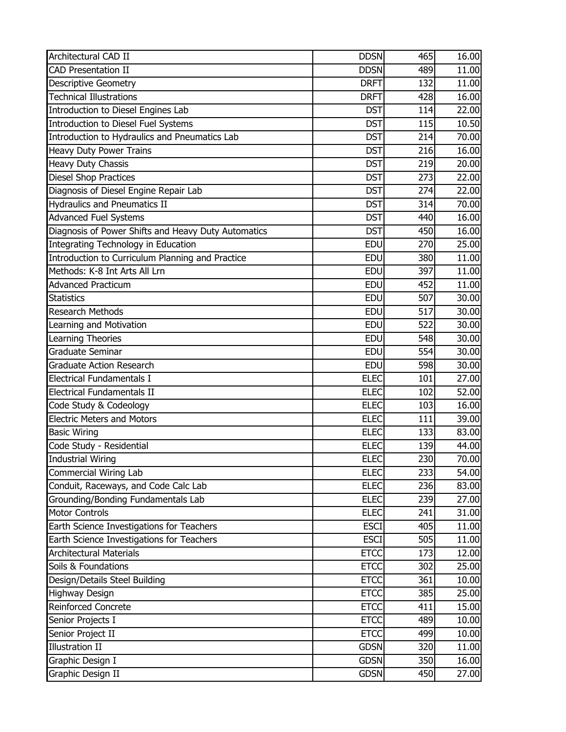| Architectural CAD II                                | <b>DDSN</b> | 465 | 16.00 |
|-----------------------------------------------------|-------------|-----|-------|
| <b>CAD Presentation II</b>                          | <b>DDSN</b> | 489 | 11.00 |
| <b>Descriptive Geometry</b>                         | <b>DRFT</b> | 132 | 11.00 |
| <b>Technical Illustrations</b>                      | <b>DRFT</b> | 428 | 16.00 |
| Introduction to Diesel Engines Lab                  | <b>DST</b>  | 114 | 22.00 |
| Introduction to Diesel Fuel Systems                 | <b>DST</b>  | 115 | 10.50 |
| Introduction to Hydraulics and Pneumatics Lab       | <b>DST</b>  | 214 | 70.00 |
| <b>Heavy Duty Power Trains</b>                      | <b>DST</b>  | 216 | 16.00 |
| <b>Heavy Duty Chassis</b>                           | <b>DST</b>  | 219 | 20.00 |
| <b>Diesel Shop Practices</b>                        | <b>DST</b>  | 273 | 22.00 |
| Diagnosis of Diesel Engine Repair Lab               | <b>DST</b>  | 274 | 22.00 |
| <b>Hydraulics and Pneumatics II</b>                 | <b>DST</b>  | 314 | 70.00 |
| <b>Advanced Fuel Systems</b>                        | <b>DST</b>  | 440 | 16.00 |
| Diagnosis of Power Shifts and Heavy Duty Automatics | <b>DST</b>  | 450 | 16.00 |
| Integrating Technology in Education                 | EDU         | 270 | 25.00 |
| Introduction to Curriculum Planning and Practice    | <b>EDU</b>  | 380 | 11.00 |
| Methods: K-8 Int Arts All Lrn                       | <b>EDU</b>  | 397 | 11.00 |
| <b>Advanced Practicum</b>                           | <b>EDU</b>  | 452 | 11.00 |
| <b>Statistics</b>                                   | <b>EDU</b>  | 507 | 30.00 |
| <b>Research Methods</b>                             | <b>EDU</b>  | 517 | 30.00 |
| Learning and Motivation                             | <b>EDU</b>  | 522 | 30.00 |
| Learning Theories                                   | <b>EDU</b>  | 548 | 30.00 |
| Graduate Seminar                                    | <b>EDU</b>  | 554 | 30.00 |
| <b>Graduate Action Research</b>                     | <b>EDU</b>  | 598 | 30.00 |
| Electrical Fundamentals I                           | <b>ELEC</b> | 101 | 27.00 |
| Electrical Fundamentals II                          | <b>ELEC</b> | 102 | 52.00 |
| Code Study & Codeology                              | <b>ELEC</b> | 103 | 16.00 |
| <b>Electric Meters and Motors</b>                   | <b>ELEC</b> | 111 | 39.00 |
| <b>Basic Wiring</b>                                 | <b>ELEC</b> | 133 | 83.00 |
| Code Study - Residential                            | <b>ELEC</b> | 139 | 44.00 |
| <b>Industrial Wiring</b>                            | <b>ELEC</b> | 230 | 70.00 |
| <b>Commercial Wiring Lab</b>                        | <b>ELEC</b> | 233 | 54.00 |
| Conduit, Raceways, and Code Calc Lab                | <b>ELEC</b> | 236 | 83.00 |
| Grounding/Bonding Fundamentals Lab                  | <b>ELEC</b> | 239 | 27.00 |
| <b>Motor Controls</b>                               | <b>ELEC</b> | 241 | 31.00 |
| Earth Science Investigations for Teachers           | <b>ESCI</b> | 405 | 11.00 |
| Earth Science Investigations for Teachers           | <b>ESCI</b> | 505 | 11.00 |
| <b>Architectural Materials</b>                      | <b>ETCC</b> | 173 | 12.00 |
| Soils & Foundations                                 | <b>ETCC</b> | 302 | 25.00 |
| Design/Details Steel Building                       | <b>ETCC</b> | 361 | 10.00 |
| <b>Highway Design</b>                               | <b>ETCC</b> | 385 | 25.00 |
| <b>Reinforced Concrete</b>                          | <b>ETCC</b> | 411 | 15.00 |
| Senior Projects I                                   | <b>ETCC</b> | 489 | 10.00 |
| Senior Project II                                   | <b>ETCC</b> | 499 | 10.00 |
| <b>Illustration II</b>                              | <b>GDSN</b> | 320 | 11.00 |
| Graphic Design I                                    | <b>GDSN</b> | 350 | 16.00 |
| Graphic Design II                                   | <b>GDSN</b> | 450 | 27.00 |